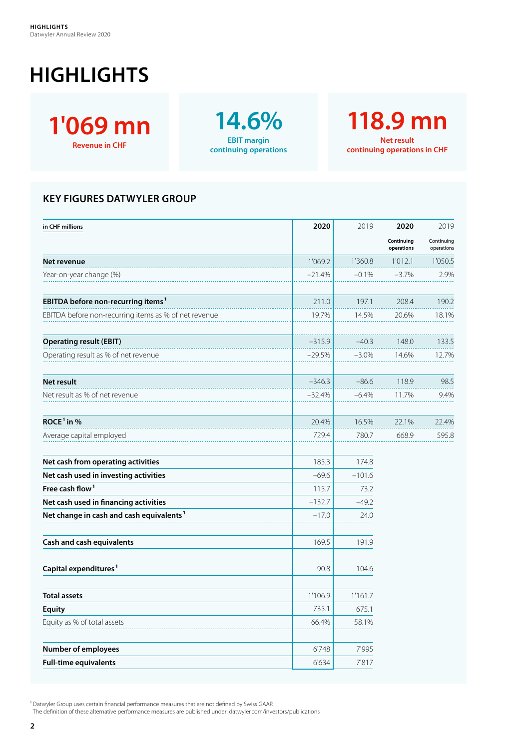## **HIGHLIGHTS**



**14.6% EBIT margin continuing operations**

**118.9 mn Net result continuing operations in CHF**

## **KEY FIGURES DATWYLER GROUP**

| in CHF millions                                       | 2020     | 2019     | 2020                     | 2019                     |
|-------------------------------------------------------|----------|----------|--------------------------|--------------------------|
|                                                       |          |          | Continuing<br>operations | Continuing<br>operations |
| Net revenue                                           | 1'069.2  | 1'360.8  | 1'012.1                  | 1'050.5                  |
| Year-on-year change (%)                               | $-21.4%$ | $-0.1%$  | $-3.7%$                  | 2.9%                     |
| EBITDA before non-recurring items <sup>1</sup>        | 211.0    | 197.1    | 208.4                    | 190.2                    |
| EBITDA before non-recurring items as % of net revenue | 19.7%    | 14.5%    | 20.6%                    | 18.1%                    |
| <b>Operating result (EBIT)</b>                        | $-315.9$ | $-40.3$  | 148.0                    | 133.5                    |
| Operating result as % of net revenue                  | $-29.5%$ | $-3.0\%$ | 14.6%                    | 12.7%                    |
| Net result                                            | $-346.3$ | $-86.6$  | 118.9                    | 98.5                     |
| Net result as % of net revenue                        | $-32.4%$ | $-6.4%$  | 11.7%                    | 9.4%                     |
| ROCE <sup>1</sup> in %                                | 20.4%    | 16.5%    | 22.1%                    | 22.4%                    |
| Average capital employed                              | 729.4    | 780.7    | 668.9                    | 595.8                    |
| Net cash from operating activities                    | 185.3    | 174.8    |                          |                          |
| Net cash used in investing activities                 | $-69.6$  | $-101.6$ |                          |                          |
| Free cash flow <sup>1</sup>                           | 115.7    | 73.2     |                          |                          |
| Net cash used in financing activities                 | $-132.7$ | $-49.2$  |                          |                          |
| Net change in cash and cash equivalents <sup>1</sup>  | $-17.0$  | 24.0     |                          |                          |
| Cash and cash equivalents                             | 169.5    | 191.9    |                          |                          |
| Capital expenditures <sup>1</sup>                     | 90.8     | 104.6    |                          |                          |
| <b>Total assets</b>                                   | 1'106.9  | 1'161.7  |                          |                          |
| <b>Equity</b>                                         | 735.1    | 675.1    |                          |                          |
| Equity as % of total assets                           | 66.4%    | 58.1%    |                          |                          |
| <b>Number of employees</b>                            | 6'748    | 7'995    |                          |                          |
| <b>Full-time equivalents</b>                          | 6'634    | 7'817    |                          |                          |

<sup>1</sup> Datwyler Group uses certain financial performance measures that are not defined by Swiss GAAP.

The definition of these alternative performance measures are published under: datwyler.com/investors/publications